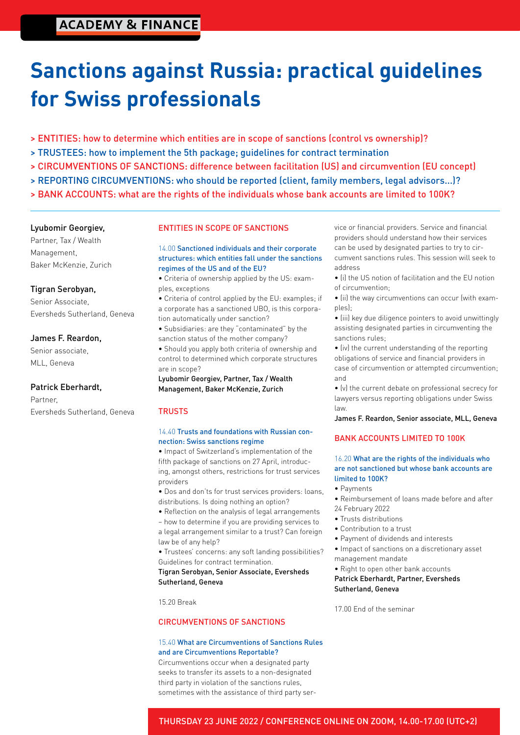## **ACADEMY & FINANCE**

# **Sanctions against Russia: practical guidelines for Swiss professionals**

- > ENTITIES: how to determine which entities are in scope of sanctions (control vs ownership)?
- > TRUSTEES: how to implement the 5th package; guidelines for contract termination
- > CIRCUMVENTIONS OF SANCTIONS: difference between facilitation (US) and circumvention (EU concept)
- > REPORTING CIRCUMVENTIONS: who should be reported (client, family members, legal advisors...)?
- > BANK ACCOUNTS: what are the rights of the individuals whose bank accounts are limited to 100K?

#### Lyubomir Georgiev,

Partner, Tax / Wealth Management, Baker McKenzie, Zurich

#### Tigran Serobyan,

Senior Associate, Eversheds Sutherland, Geneva

#### James F. Reardon,

Senior associate, MLL, Geneva

#### Patrick Eberhardt,

Partner, Eversheds Sutherland, Geneva

#### ENTITIES IN SCOPE OF SANCTIONS

14.00 Sanctioned individuals and their corporate structures: which entities fall under the sanctions regimes of the US and of the EU?

• Criteria of ownership applied by the US: examples, exceptions

• Criteria of control applied by the EU: examples; if a corporate has a sanctioned UBO, is this corporation automatically under sanction?

• Subsidiaries: are they "contaminated" by the sanction status of the mother company?

• Should you apply both criteria of ownership and control to determined which corporate structures are in scope?

Lyubomir Georgiev, Partner, Tax / Wealth Management, Baker McKenzie, Zurich

#### **TRUSTS**

#### 14.40 Trusts and foundations with Russian connection: Swiss sanctions regime

• Impact of Switzerland's implementation of the fifth package of sanctions on 27 April, introducing, amongst others, restrictions for trust services providers

- Dos and don'ts for trust services providers: loans, distributions. Is doing nothing an option?
- Reflection on the analysis of legal arrangements

– how to determine if you are providing services to a legal arrangement similar to a trust? Can foreign law be of any help?

• Trustees' concerns: any soft landing possibilities? Guidelines for contract termination.

Tigran Serobyan, Senior Associate, Eversheds Sutherland, Geneva

15.20 Break

#### CIRCUMVENTIONS OF SANCTIONS

#### 15.40 What are Circumventions of Sanctions Rules and are Circumventions Reportable?

Circumventions occur when a designated party seeks to transfer its assets to a non-designated third party in violation of the sanctions rules, sometimes with the assistance of third party service or financial providers. Service and financial providers should understand how their services can be used by designated parties to try to circumvent sanctions rules. This session will seek to address

• (i) the US notion of facilitation and the EU notion of circumvention;

• (ii) the way circumventions can occur (with examples);

• (iii) key due diligence pointers to avoid unwittingly assisting designated parties in circumventing the sanctions rules;

• (iv) the current understanding of the reporting obligations of service and financial providers in case of circumvention or attempted circumvention; and

• (v) the current debate on professional secrecy for lawyers versus reporting obligations under Swiss law.

James F. Reardon, Senior associate, MLL, Geneva

#### BANK ACCOUNTS LIMITED TO 100K

#### 16.20 What are the rights of the individuals who are not sanctioned but whose bank accounts are limited to 100K?

- Payments
- Reimbursement of loans made before and after 24 February 2022
- Trusts distributions
- Contribution to a trust
- Payment of dividends and interests
- Impact of sanctions on a discretionary asset management mandate
- Right to open other bank accounts

#### Patrick Eberhardt, Partner, Eversheds Sutherland, Geneva

17.00 End of the seminar